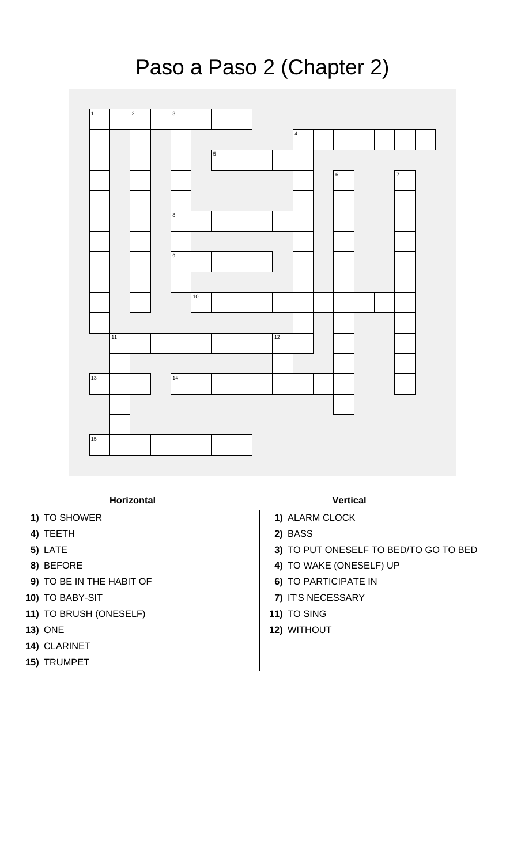## Paso a Paso 2 (Chapter 2)



## **Horizontal Vertical**

- 
- **4)** TEETH **2)** BASS
- 
- 
- **9)** TO BE IN THE HABIT OF **6)** TO PARTICIPATE IN
- 
- **11)** TO BRUSH (ONESELF) **11)** TO SING
- 
- **14)** CLARINET
- **15)** TRUMPET

- **1)** TO SHOWER **1)** TO SHOWER **1** 
	-
- **5)** LATE **3)** TO PUT ONESELF TO BED/TO GO TO BED
- **8)** BEFORE **4)** TO WAKE (ONESELF) UP
	-
- **10)** TO BABY-SIT **7)** IT'S NECESSARY
	-
- **13)** ONE **12)** WITHOUT